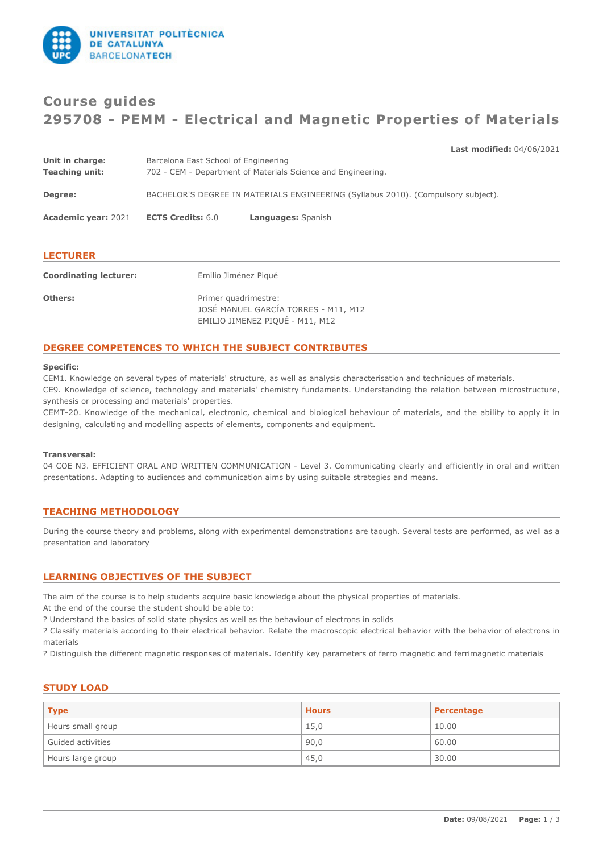

# **Course guides 295708 - PEMM - Electrical and Magnetic Properties of Materials**

## **Last modified:** 04/06/2021

| Unit in charge:            | Barcelona East School of Engineering                         |                                                                                   |  |
|----------------------------|--------------------------------------------------------------|-----------------------------------------------------------------------------------|--|
| <b>Teaching unit:</b>      | 702 - CEM - Department of Materials Science and Engineering. |                                                                                   |  |
| Degree:                    |                                                              | BACHELOR'S DEGREE IN MATERIALS ENGINEERING (Syllabus 2010). (Compulsory subject). |  |
|                            |                                                              |                                                                                   |  |
| <b>Academic year: 2021</b> | <b>ECTS Credits: 6.0</b>                                     | Languages: Spanish                                                                |  |
|                            |                                                              |                                                                                   |  |
|                            |                                                              |                                                                                   |  |

## **LECTURER**

| <b>Coordinating lecturer:</b> | Emilio Jiménez Piqué                                                                            |
|-------------------------------|-------------------------------------------------------------------------------------------------|
| <b>Others:</b>                | Primer quadrimestre:<br>JOSÉ MANUEL GARCÍA TORRES - M11, M12<br>EMILIO JIMENEZ PIQUÉ - M11, M12 |

# **DEGREE COMPETENCES TO WHICH THE SUBJECT CONTRIBUTES**

#### **Specific:**

CEM1. Knowledge on several types of materials' structure, as well as analysis characterisation and techniques of materials. CE9. Knowledge of science, technology and materials' chemistry fundaments. Understanding the relation between microstructure, synthesis or processing and materials' properties.

CEMT-20. Knowledge of the mechanical, electronic, chemical and biological behaviour of materials, and the ability to apply it in designing, calculating and modelling aspects of elements, components and equipment.

#### **Transversal:**

04 COE N3. EFFICIENT ORAL AND WRITTEN COMMUNICATION - Level 3. Communicating clearly and efficiently in oral and written presentations. Adapting to audiences and communication aims by using suitable strategies and means.

# **TEACHING METHODOLOGY**

During the course theory and problems, along with experimental demonstrations are taough. Several tests are performed, as well as a presentation and laboratory

# **LEARNING OBJECTIVES OF THE SUBJECT**

The aim of the course is to help students acquire basic knowledge about the physical properties of materials.

At the end of the course the student should be able to:

? Understand the basics of solid state physics as well as the behaviour of electrons in solids

? Classify materials according to their electrical behavior. Relate the macroscopic electrical behavior with the behavior of electrons in materials

? Distinguish the different magnetic responses of materials. Identify key parameters of ferro magnetic and ferrimagnetic materials

## **STUDY LOAD**

| <b>Type</b>       | <b>Hours</b> | Percentage |
|-------------------|--------------|------------|
| Hours small group | 15,0         | 10.00      |
| Guided activities | 90,0         | 60.00      |
| Hours large group | 45,0         | 30.00      |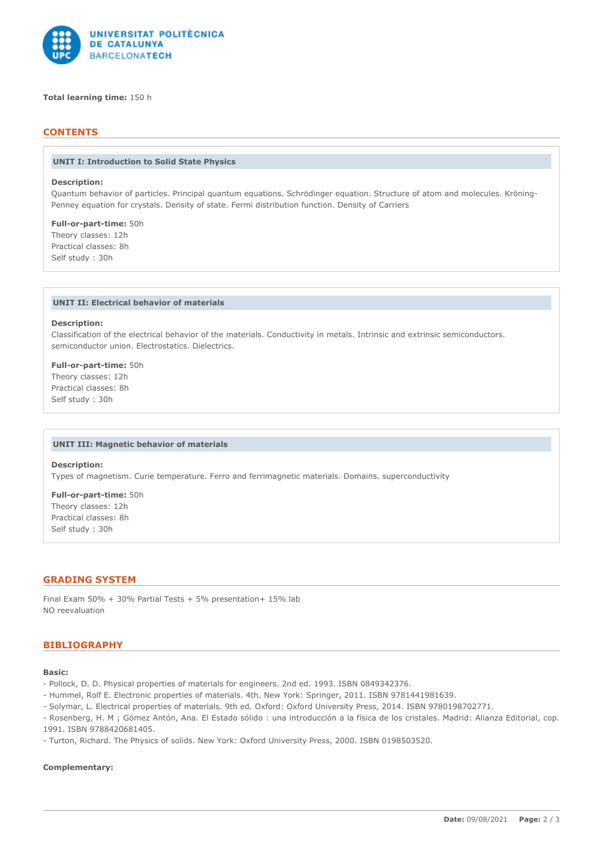

## **Total learning time:** 150 h

# **CONTENTS**

#### **UNIT I: Introduction to Solid State Physics**

## **Description:**

Quantum behavior of particles. Principal quantum equations. Schrödinger equation. Structure of atom and molecules. Kröning-Penney equation for crystals. Density of state. Fermi distribution function. Density of Carriers

**Full-or-part-time:** 50h Theory classes: 12h Practical classes: 8h Self study : 30h

## **UNIT II: Electrical behavior of materials**

#### **Description:**

Classification of the electrical behavior of the materials. Conductivity in metals. Intrinsic and extrinsic semiconductors. semiconductor union. Electrostatics. Dielectrics.

**Full-or-part-time:** 50h Theory classes: 12h Practical classes: 8h Self study : 30h

#### **UNIT III: Magnetic behavior of materials**

#### **Description:**

Types of magnetism. Curie temperature. Ferro and ferrimagnetic materials. Domains. superconductivity

**Full-or-part-time:** 50h Theory classes: 12h Practical classes: 8h Self study : 30h

#### **GRADING SYSTEM**

Final Exam 50% + 30% Partial Tests + 5% presentation+ 15% lab NO reevaluation

#### **BIBLIOGRAPHY**

# **Basic:**

- Pollock, D. D. Physical properties of materials for engineers. 2nd ed. 1993. ISBN 0849342376.
- Hummel, Rolf E. Electronic properties of materials. 4th. New York: Springer, 2011. ISBN 9781441981639.
- Solymar, L. Electrical properties of materials. 9th ed. Oxford: Oxford University Press, 2014. ISBN 9780198702771.
- Rosenberg, H. M ; Gómez Antón, Ana. El Estado sólido : una introducción a la física de los cristales. Madrid: Alianza Editorial, cop. 1991. ISBN 9788420681405.
- Turton, Richard. The Physics of solids. New York: Oxford University Press, 2000. ISBN 0198503520.

# **Complementary:**